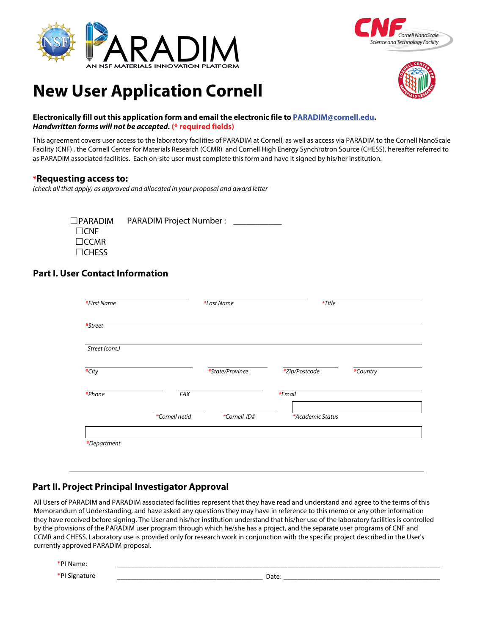





# **New User Application Cornell**

#### **Electronically fill out this application form and email the electronic file to PARADIM@cornell.edu. Handwritten forms will not be accepted***.* **(\* required fields)**

This agreement covers user access to the laboratory facilities of PARADIM at Cornell, as well as access via PARADIM to the Cornell NanoScale Facility (CNF) , the Cornell Center for Materials Research (CCMR) and Cornell High Energy Synchrotron Source (CHESS), hereafter referred to as PARADIM associated facilities. Each on-site user must complete this form and have it signed by his/her institution.

### **\*Requesting access to:**

(check all that apply) as approved and allocated in your proposal and award letter

☐PARADIM PARADIM Project Number : \_\_\_\_\_\_\_\_\_\_\_ ☐CNF ☐CCMR ☐CHESS

# **Part I. User Contact Information**

| <i>*First Name</i> |                | *Last Name      | *Title           |          |
|--------------------|----------------|-----------------|------------------|----------|
| *Street            |                |                 |                  |          |
| Street (cont.)     |                |                 |                  |          |
| $*$ City           |                | *State/Province | *Zip/Postcode    | *Country |
| *Phone             | FAX            |                 | *Email           |          |
|                    | *Cornell netid | *Cornell ID#    | *Academic Status |          |
|                    |                |                 |                  |          |
| *Department        |                |                 |                  |          |

# **Part II. Project Principal Investigator Approval**

All Users of PARADIM and PARADIM associated facilities represent that they have read and understand and agree to the terms of this Memorandum of Understanding, and have asked any questions they may have in reference to this memo or any other information they have received before signing. The User and his/her institution understand that his/her use of the laboratory facilities is controlled by the provisions of the PARADIM user program through which he/she has a project, and the separate user programs of CNF and CCMR and CHESS. Laboratory use is provided only for research work in conjunction with the specific project described in the User's currently approved PARADIM proposal.

\*PI Name:

\*PI Signature